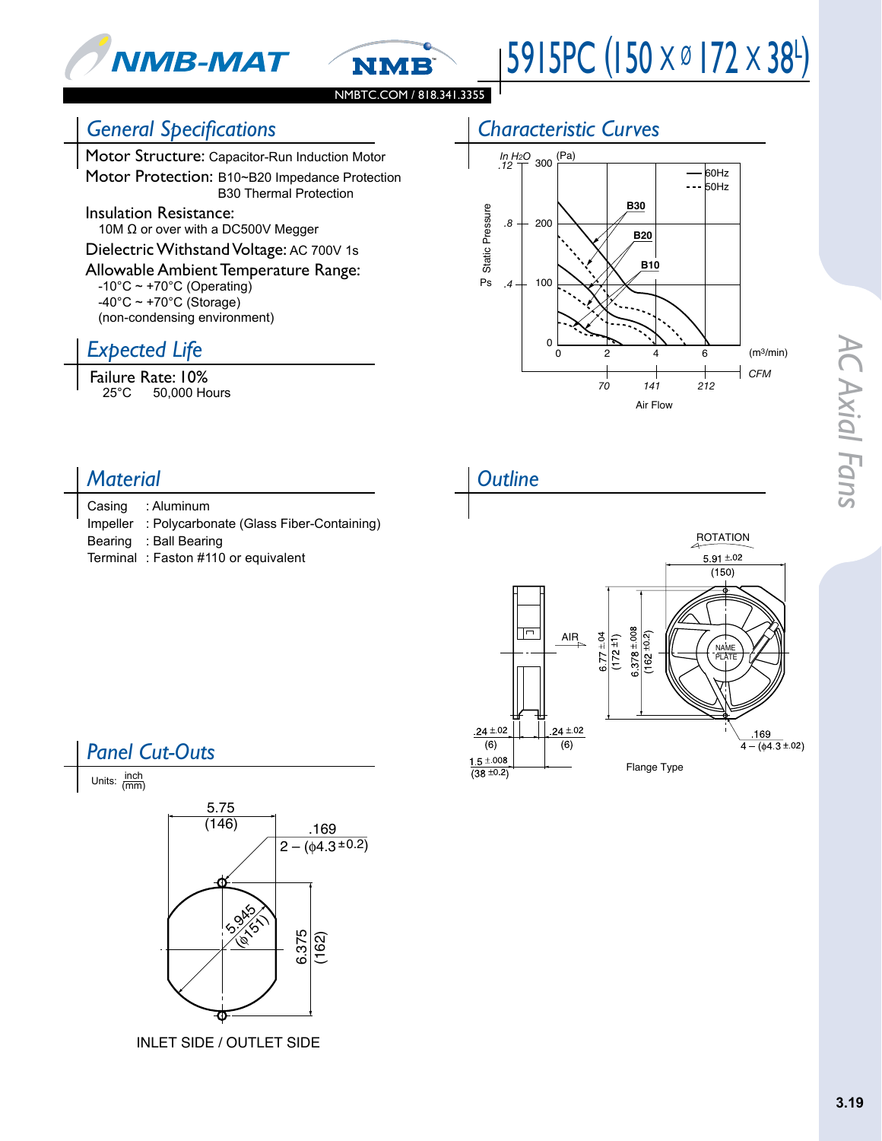



#### NMBTC.COM / 818.341.3355

**NMB** 

#### *General Specifications*

Motor Structure: Capacitor-Run Induction Motor

Motor Protection: B10~B20 Impedance Protection B30 Thermal Protection

Insulation Resistance: 10M Ω or over with a DC500V Megger

Dielectric Withstand Voltage: AC 700V 1s

Allowable Ambient Temperature Range:

 $-10^{\circ}$ C ~ +70 $^{\circ}$ C (Operating)  $-40^{\circ}$ C ~ +70 $^{\circ}$ C (Storage) (non-condensing environment)

# *Expected Life*

*Material*

**Failure Rate: 10%**<br>25°C 50,000 Ho 50,000 Hours

## *Characteristic Curves*



### *Outline*

| Casing : Aluminum                                |
|--------------------------------------------------|
| Impeller: Polycarbonate (Glass Fiber-Containing) |
| Bearing : Ball Bearing                           |
| Terminal: Faston #110 or equivalent              |
|                                                  |



# *Panel Cut-Outs*

Units:  $\frac{\text{inch}}{\text{(mm)}}$ 



INLET SIDE / OUTLET SIDE